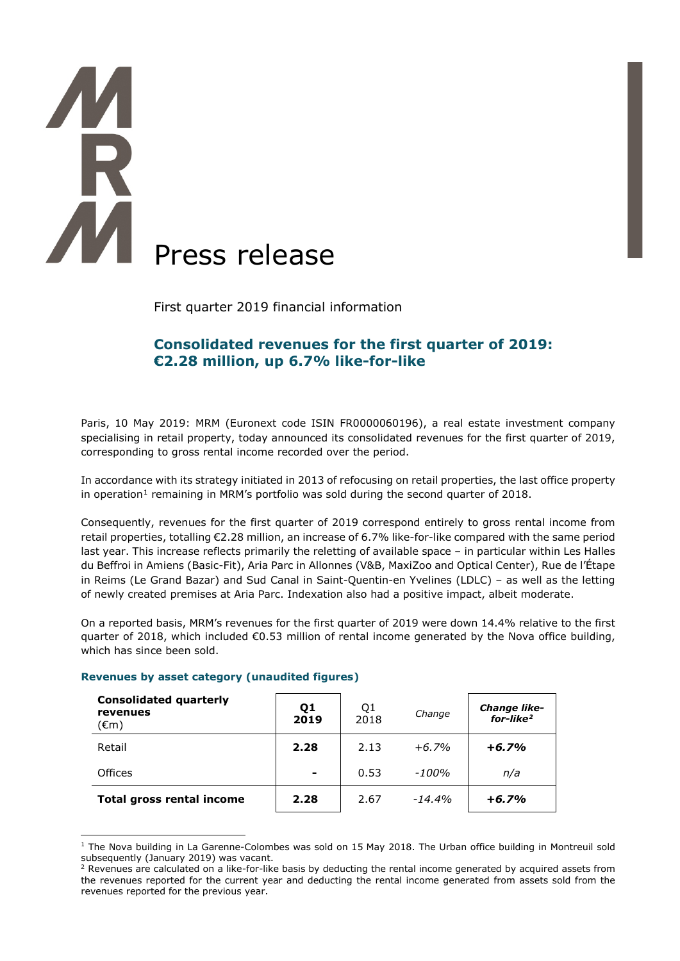# **AM** Press release

First quarter 2019 financial information

# **Consolidated revenues for the first quarter of 2019: €2.28 million, up 6.7% like-for-like**

Paris, 10 May 2019: MRM (Euronext code ISIN FR0000060196), a real estate investment company specialising in retail property, today announced its consolidated revenues for the first quarter of 2019, corresponding to gross rental income recorded over the period.

In accordance with its strategy initiated in 2013 of refocusing on retail properties, the last office property in operation<sup>[1](#page-0-0)</sup> remaining in MRM's portfolio was sold during the second quarter of 2018.

Consequently, revenues for the first quarter of 2019 correspond entirely to gross rental income from retail properties, totalling €2.28 million, an increase of 6.7% like-for-like compared with the same period last year. This increase reflects primarily the reletting of available space – in particular within Les Halles du Beffroi in Amiens (Basic-Fit), Aria Parc in Allonnes (V&B, MaxiZoo and Optical Center), Rue de l'Étape in Reims (Le Grand Bazar) and Sud Canal in Saint-Quentin-en Yvelines (LDLC) – as well as the letting of newly created premises at Aria Parc. Indexation also had a positive impact, albeit moderate.

On a reported basis, MRM's revenues for the first quarter of 2019 were down 14.4% relative to the first quarter of 2018, which included  $\epsilon$ 0.53 million of rental income generated by the Nova office building, which has since been sold.

| <b>Consolidated quarterly</b><br>revenues<br>(€m) | Q <sub>1</sub><br>2019 | Q1<br>2018 | Change   | <b>Change like-</b><br>$for$ -like <sup>2</sup> |
|---------------------------------------------------|------------------------|------------|----------|-------------------------------------------------|
| Retail                                            | 2.28                   | 2.13       | $+6.7%$  | $+6.7%$                                         |
| <b>Offices</b>                                    | $\blacksquare$         | 0.53       | $-100%$  | n/a                                             |
| <b>Total gross rental income</b>                  | 2.28                   | 2.67       | $-14.4%$ | $+6.7%$                                         |

## **Revenues by asset category (unaudited figures)**

-

<span id="page-0-0"></span><sup>&</sup>lt;sup>1</sup> The Nova building in La Garenne-Colombes was sold on 15 May 2018. The Urban office building in Montreuil sold subsequently (January 2019) was vacant.

<span id="page-0-1"></span><sup>&</sup>lt;sup>2</sup> Revenues are calculated on a like-for-like basis by deducting the rental income generated by acquired assets from the revenues reported for the current year and deducting the rental income generated from assets sold from the revenues reported for the previous year.